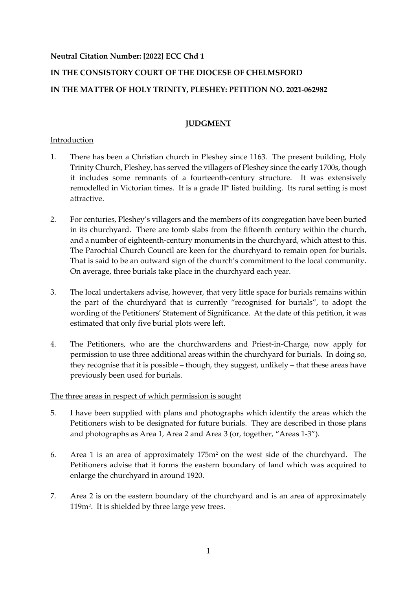## **Neutral Citation Number: [2022] ECC Chd 1**

# **IN THE CONSISTORY COURT OF THE DIOCESE OF CHELMSFORD**

# **IN THE MATTER OF HOLY TRINITY, PLESHEY: PETITION NO. 2021-062982**

# **JUDGMENT**

## Introduction

- 1. There has been a Christian church in Pleshey since 1163. The present building, Holy Trinity Church, Pleshey, has served the villagers of Pleshey since the early 1700s, though it includes some remnants of a fourteenth-century structure. It was extensively remodelled in Victorian times. It is a grade II\* listed building. Its rural setting is most attractive.
- 2. For centuries, Pleshey's villagers and the members of its congregation have been buried in its churchyard. There are tomb slabs from the fifteenth century within the church, and a number of eighteenth-century monuments in the churchyard, which attest to this. The Parochial Church Council are keen for the churchyard to remain open for burials. That is said to be an outward sign of the church's commitment to the local community. On average, three burials take place in the churchyard each year.
- 3. The local undertakers advise, however, that very little space for burials remains within the part of the churchyard that is currently "recognised for burials", to adopt the wording of the Petitioners' Statement of Significance. At the date of this petition, it was estimated that only five burial plots were left.
- 4. The Petitioners, who are the churchwardens and Priest-in-Charge, now apply for permission to use three additional areas within the churchyard for burials. In doing so, they recognise that it is possible – though, they suggest, unlikely – that these areas have previously been used for burials.

#### The three areas in respect of which permission is sought

- 5. I have been supplied with plans and photographs which identify the areas which the Petitioners wish to be designated for future burials. They are described in those plans and photographs as Area 1, Area 2 and Area 3 (or, together, "Areas 1-3").
- 6. Area 1 is an area of approximately 175m<sup>2</sup> on the west side of the churchyard. The Petitioners advise that it forms the eastern boundary of land which was acquired to enlarge the churchyard in around 1920.
- 7. Area 2 is on the eastern boundary of the churchyard and is an area of approximately 119m<sup>2</sup> . It is shielded by three large yew trees.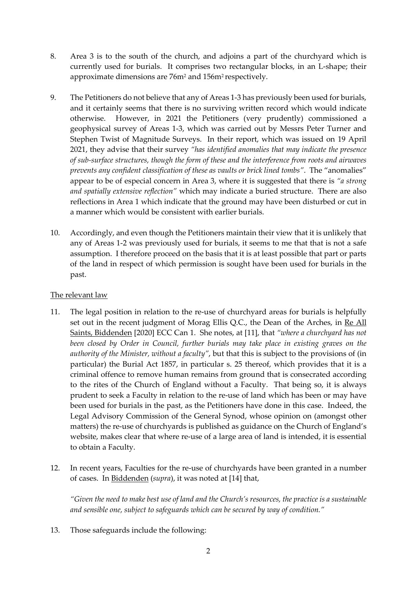- 8. Area 3 is to the south of the church, and adjoins a part of the churchyard which is currently used for burials. It comprises two rectangular blocks, in an L-shape; their approximate dimensions are 76m<sup>2</sup> and 156m<sup>2</sup> respectively.
- 9. The Petitioners do not believe that any of Areas 1-3 has previously been used for burials, and it certainly seems that there is no surviving written record which would indicate otherwise. However, in 2021 the Petitioners (very prudently) commissioned a geophysical survey of Areas 1-3, which was carried out by Messrs Peter Turner and Stephen Twist of Magnitude Surveys. In their report, which was issued on 19 April 2021, they advise that their survey *"has identified anomalies that may indicate the presence of sub-surface structures, though the form of these and the interference from roots and airwaves prevents any confident classification of these as vaults or brick lined tombs"*. The "anomalies" appear to be of especial concern in Area 3, where it is suggested that there is *"a strong and spatially extensive reflection"* which may indicate a buried structure. There are also reflections in Area 1 which indicate that the ground may have been disturbed or cut in a manner which would be consistent with earlier burials.
- 10. Accordingly, and even though the Petitioners maintain their view that it is unlikely that any of Areas 1-2 was previously used for burials, it seems to me that that is not a safe assumption. I therefore proceed on the basis that it is at least possible that part or parts of the land in respect of which permission is sought have been used for burials in the past.

#### The relevant law

- 11. The legal position in relation to the re-use of churchyard areas for burials is helpfully set out in the recent judgment of Morag Ellis Q.C., the Dean of the Arches, in Re All Saints, Biddenden [2020] ECC Can 1. She notes, at [11], that *"where a churchyard has not been closed by Order in Council, further burials may take place in existing graves on the authority of the Minister, without a faculty"*, but that this is subject to the provisions of (in particular) the Burial Act 1857, in particular s. 25 thereof, which provides that it is a criminal offence to remove human remains from ground that is consecrated according to the rites of the Church of England without a Faculty. That being so, it is always prudent to seek a Faculty in relation to the re-use of land which has been or may have been used for burials in the past, as the Petitioners have done in this case. Indeed, the Legal Advisory Commission of the General Synod, whose opinion on (amongst other matters) the re-use of churchyards is published as guidance on the Church of England's website, makes clear that where re-use of a large area of land is intended, it is essential to obtain a Faculty.
- 12. In recent years, Faculties for the re-use of churchyards have been granted in a number of cases. In Biddenden (*supra*), it was noted at [14] that,

*"Given the need to make best use of land and the Church's resources, the practice is a sustainable and sensible one, subject to safeguards which can be secured by way of condition."* 

13. Those safeguards include the following: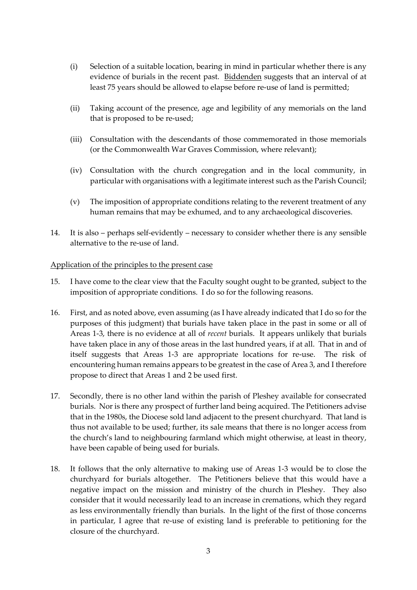- (i) Selection of a suitable location, bearing in mind in particular whether there is any evidence of burials in the recent past. Biddenden suggests that an interval of at least 75 years should be allowed to elapse before re-use of land is permitted;
- (ii) Taking account of the presence, age and legibility of any memorials on the land that is proposed to be re-used;
- (iii) Consultation with the descendants of those commemorated in those memorials (or the Commonwealth War Graves Commission, where relevant);
- (iv) Consultation with the church congregation and in the local community, in particular with organisations with a legitimate interest such as the Parish Council;
- (v) The imposition of appropriate conditions relating to the reverent treatment of any human remains that may be exhumed, and to any archaeological discoveries.
- 14. It is also perhaps self-evidently necessary to consider whether there is any sensible alternative to the re-use of land.

#### Application of the principles to the present case

- 15. I have come to the clear view that the Faculty sought ought to be granted, subject to the imposition of appropriate conditions. I do so for the following reasons.
- 16. First, and as noted above, even assuming (as I have already indicated that I do so for the purposes of this judgment) that burials have taken place in the past in some or all of Areas 1-3, there is no evidence at all of *recent* burials. It appears unlikely that burials have taken place in any of those areas in the last hundred years, if at all. That in and of itself suggests that Areas 1-3 are appropriate locations for re-use. The risk of encountering human remains appears to be greatest in the case of Area 3, and I therefore propose to direct that Areas 1 and 2 be used first.
- 17. Secondly, there is no other land within the parish of Pleshey available for consecrated burials. Nor is there any prospect of further land being acquired. The Petitioners advise that in the 1980s, the Diocese sold land adjacent to the present churchyard. That land is thus not available to be used; further, its sale means that there is no longer access from the church's land to neighbouring farmland which might otherwise, at least in theory, have been capable of being used for burials.
- 18. It follows that the only alternative to making use of Areas 1-3 would be to close the churchyard for burials altogether. The Petitioners believe that this would have a negative impact on the mission and ministry of the church in Pleshey. They also consider that it would necessarily lead to an increase in cremations, which they regard as less environmentally friendly than burials. In the light of the first of those concerns in particular, I agree that re-use of existing land is preferable to petitioning for the closure of the churchyard.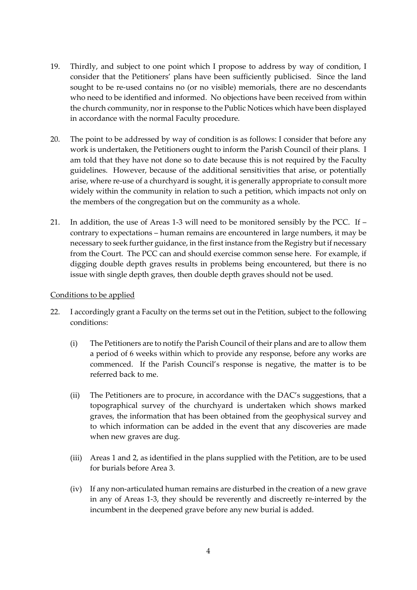- 19. Thirdly, and subject to one point which I propose to address by way of condition, I consider that the Petitioners' plans have been sufficiently publicised. Since the land sought to be re-used contains no (or no visible) memorials, there are no descendants who need to be identified and informed. No objections have been received from within the church community, nor in response to the Public Notices which have been displayed in accordance with the normal Faculty procedure.
- 20. The point to be addressed by way of condition is as follows: I consider that before any work is undertaken, the Petitioners ought to inform the Parish Council of their plans. I am told that they have not done so to date because this is not required by the Faculty guidelines. However, because of the additional sensitivities that arise, or potentially arise, where re-use of a churchyard is sought, it is generally appropriate to consult more widely within the community in relation to such a petition, which impacts not only on the members of the congregation but on the community as a whole.
- 21. In addition, the use of Areas 1-3 will need to be monitored sensibly by the PCC. If contrary to expectations – human remains are encountered in large numbers, it may be necessary to seek further guidance, in the first instance from the Registry but if necessary from the Court. The PCC can and should exercise common sense here. For example, if digging double depth graves results in problems being encountered, but there is no issue with single depth graves, then double depth graves should not be used.

#### Conditions to be applied

- 22. I accordingly grant a Faculty on the terms set out in the Petition, subject to the following conditions:
	- (i) The Petitioners are to notify the Parish Council of their plans and are to allow them a period of 6 weeks within which to provide any response, before any works are commenced. If the Parish Council's response is negative, the matter is to be referred back to me.
	- (ii) The Petitioners are to procure, in accordance with the DAC's suggestions, that a topographical survey of the churchyard is undertaken which shows marked graves, the information that has been obtained from the geophysical survey and to which information can be added in the event that any discoveries are made when new graves are dug.
	- (iii) Areas 1 and 2, as identified in the plans supplied with the Petition, are to be used for burials before Area 3.
	- (iv) If any non-articulated human remains are disturbed in the creation of a new grave in any of Areas 1-3, they should be reverently and discreetly re-interred by the incumbent in the deepened grave before any new burial is added.